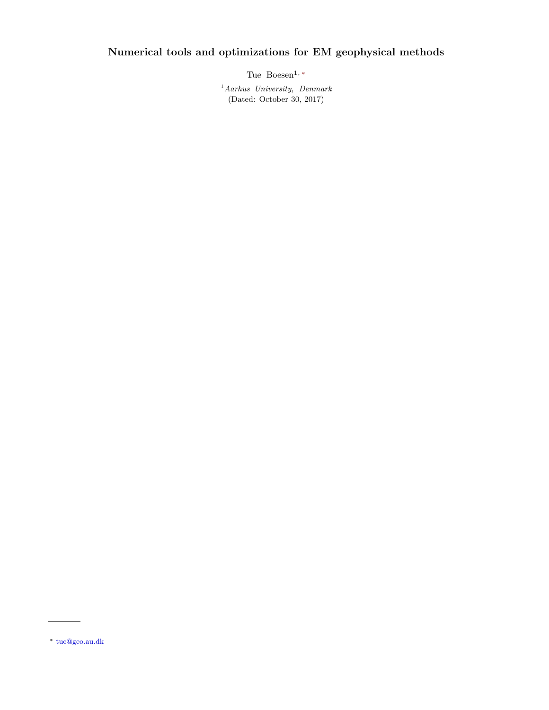# Numerical tools and optimizations for EM geophysical methods

Tue Boesen<sup>1, [∗](#page-0-0)</sup>

 $<sup>1</sup> Aarhus$  University, Denmark</sup> (Dated: October 30, 2017)

<span id="page-0-0"></span><sup>∗</sup> [tue@geo.au.dk](mailto:tue@geo.au.dk)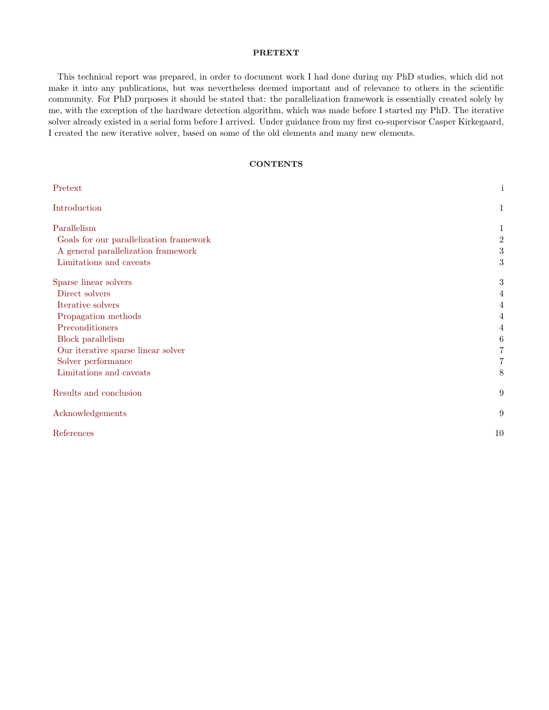## <span id="page-1-0"></span>PRETEXT

This technical report was prepared, in order to document work I had done during my PhD studies, which did not make it into any publications, but was nevertheless deemed important and of relevance to others in the scientific community. For PhD purposes it should be stated that: the parallelization framework is essentially created solely by me, with the exception of the hardware detection algorithm, which was made before I started my PhD. The iterative solver already existed in a serial form before I arrived. Under guidance from my first co-supervisor Casper Kirkegaard, I created the new iterative solver, based on some of the old elements and many new elements.

# **CONTENTS**

| Pretext                                 | $\mathbf{i}$   |
|-----------------------------------------|----------------|
| Introduction                            | $\mathbf{1}$   |
| Parallelism                             | 1              |
| Goals for our parallelization framework | $\overline{2}$ |
| A general parallelization framework     | 3              |
| Limitations and caveats                 | 3              |
| Sparse linear solvers                   | $\,3$          |
| Direct solvers                          | 4              |
| Iterative solvers                       | 4              |
| Propagation methods                     | 4              |
| Preconditioners                         | 4              |
| <b>Block</b> parallelism                | 6              |
| Our iterative sparse linear solver      | 7              |
| Solver performance                      | $\overline{7}$ |
| Limitations and caveats                 | 8              |
| Results and conclusion                  | 9              |
| Acknowledgements                        | 9              |
| References                              | 10             |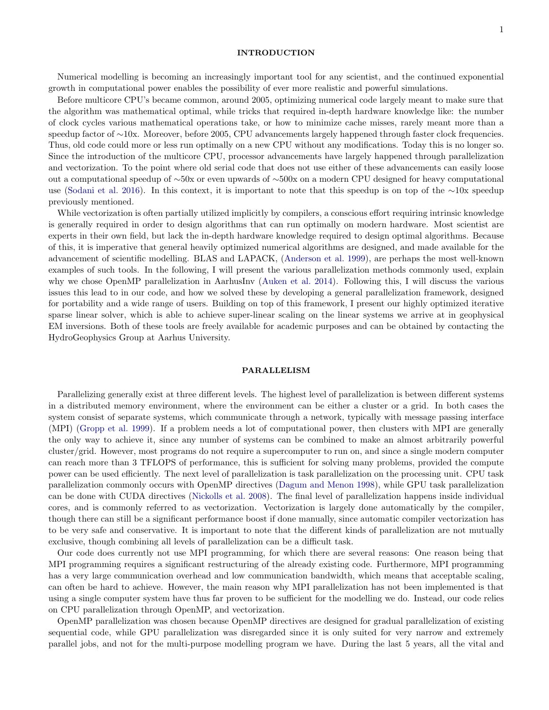## 1

## <span id="page-2-0"></span>INTRODUCTION

Numerical modelling is becoming an increasingly important tool for any scientist, and the continued exponential growth in computational power enables the possibility of ever more realistic and powerful simulations.

Before multicore CPU's became common, around 2005, optimizing numerical code largely meant to make sure that the algorithm was mathematical optimal, while tricks that required in-depth hardware knowledge like: the number of clock cycles various mathematical operations take, or how to minimize cache misses, rarely meant more than a speedup factor of ∼10x. Moreover, before 2005, CPU advancements largely happened through faster clock frequencies. Thus, old code could more or less run optimally on a new CPU without any modifications. Today this is no longer so. Since the introduction of the multicore CPU, processor advancements have largely happened through parallelization and vectorization. To the point where old serial code that does not use either of these advancements can easily loose out a computational speedup of ∼50x or even upwards of ∼500x on a modern CPU designed for heavy computational use [\(Sodani et al.](#page-11-1) [2016\)](#page-11-1). In this context, it is important to note that this speedup is on top of the ∼10x speedup previously mentioned.

While vectorization is often partially utilized implicitly by compilers, a conscious effort requiring intrinsic knowledge is generally required in order to design algorithms that can run optimally on modern hardware. Most scientist are experts in their own field, but lack the in-depth hardware knowledge required to design optimal algorithms. Because of this, it is imperative that general heavily optimized numerical algorithms are designed, and made available for the advancement of scientific modelling. BLAS and LAPACK, [\(Anderson et al.](#page-11-2) [1999\)](#page-11-2), are perhaps the most well-known examples of such tools. In the following, I will present the various parallelization methods commonly used, explain why we chose OpenMP parallelization in AarhusInv [\(Auken et al.](#page-11-3) [2014\)](#page-11-3). Following this, I will discuss the various issues this lead to in our code, and how we solved these by developing a general parallelization framework, designed for portability and a wide range of users. Building on top of this framework, I present our highly optimized iterative sparse linear solver, which is able to achieve super-linear scaling on the linear systems we arrive at in geophysical EM inversions. Both of these tools are freely available for academic purposes and can be obtained by contacting the HydroGeophysics Group at Aarhus University.

## <span id="page-2-1"></span>PARALLELISM

Parallelizing generally exist at three different levels. The highest level of parallelization is between different systems in a distributed memory environment, where the environment can be either a cluster or a grid. In both cases the system consist of separate systems, which communicate through a network, typically with message passing interface (MPI) [\(Gropp et al.](#page-11-4) [1999\)](#page-11-4). If a problem needs a lot of computational power, then clusters with MPI are generally the only way to achieve it, since any number of systems can be combined to make an almost arbitrarily powerful cluster/grid. However, most programs do not require a supercomputer to run on, and since a single modern computer can reach more than 3 TFLOPS of performance, this is sufficient for solving many problems, provided the compute power can be used efficiently. The next level of parallelization is task parallelization on the processing unit. CPU task parallelization commonly occurs with OpenMP directives [\(Dagum and Menon](#page-11-5) [1998\)](#page-11-5), while GPU task parallelization can be done with CUDA directives [\(Nickolls et al.](#page-11-6) [2008\)](#page-11-6). The final level of parallelization happens inside individual cores, and is commonly referred to as vectorization. Vectorization is largely done automatically by the compiler, though there can still be a significant performance boost if done manually, since automatic compiler vectorization has to be very safe and conservative. It is important to note that the different kinds of parallelization are not mutually exclusive, though combining all levels of parallelization can be a difficult task.

Our code does currently not use MPI programming, for which there are several reasons: One reason being that MPI programming requires a significant restructuring of the already existing code. Furthermore, MPI programming has a very large communication overhead and low communication bandwidth, which means that acceptable scaling, can often be hard to achieve. However, the main reason why MPI parallelization has not been implemented is that using a single computer system have thus far proven to be sufficient for the modelling we do. Instead, our code relies on CPU parallelization through OpenMP, and vectorization.

OpenMP parallelization was chosen because OpenMP directives are designed for gradual parallelization of existing sequential code, while GPU parallelization was disregarded since it is only suited for very narrow and extremely parallel jobs, and not for the multi-purpose modelling program we have. During the last 5 years, all the vital and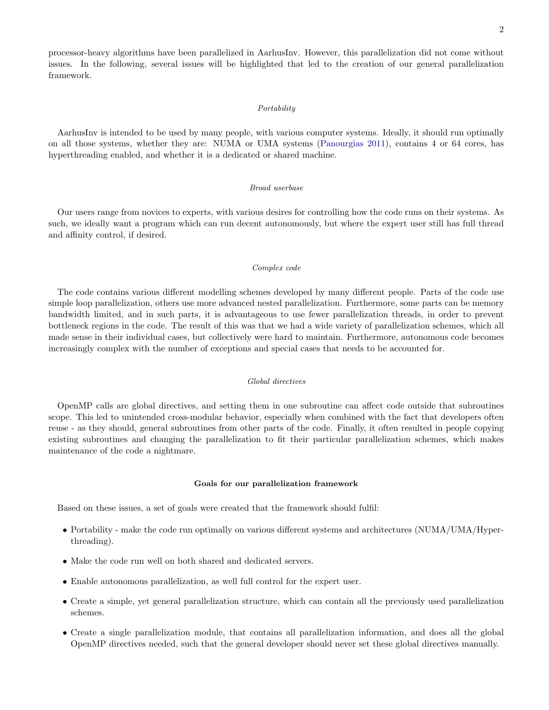processor-heavy algorithms have been parallelized in AarhusInv. However, this parallelization did not come without issues. In the following, several issues will be highlighted that led to the creation of our general parallelization framework.

## **Portability**

AarhusInv is intended to be used by many people, with various computer systems. Ideally, it should run optimally on all those systems, whether they are: NUMA or UMA systems [\(Panourgias](#page-11-7) [2011\)](#page-11-7), contains 4 or 64 cores, has hyperthreading enabled, and whether it is a dedicated or shared machine.

## Broad userbase

Our users range from novices to experts, with various desires for controlling how the code runs on their systems. As such, we ideally want a program which can run decent autonomously, but where the expert user still has full thread and affinity control, if desired.

## Complex code

The code contains various different modelling schemes developed by many different people. Parts of the code use simple loop parallelization, others use more advanced nested parallelization. Furthermore, some parts can be memory bandwidth limited, and in such parts, it is advantageous to use fewer parallelization threads, in order to prevent bottleneck regions in the code. The result of this was that we had a wide variety of parallelization schemes, which all made sense in their individual cases, but collectively were hard to maintain. Furthermore, autonomous code becomes increasingly complex with the number of exceptions and special cases that needs to be accounted for.

## Global directives

OpenMP calls are global directives, and setting them in one subroutine can affect code outside that subroutines scope. This led to unintended cross-modular behavior, especially when combined with the fact that developers often reuse - as they should, general subroutines from other parts of the code. Finally, it often resulted in people copying existing subroutines and changing the parallelization to fit their particular parallelization schemes, which makes maintenance of the code a nightmare.

## <span id="page-3-0"></span>Goals for our parallelization framework

Based on these issues, a set of goals were created that the framework should fulfil:

- Portability make the code run optimally on various different systems and architectures (NUMA/UMA/Hyperthreading).
- Make the code run well on both shared and dedicated servers.
- Enable autonomous parallelization, as well full control for the expert user.
- Create a simple, yet general parallelization structure, which can contain all the previously used parallelization schemes.
- Create a single parallelization module, that contains all parallelization information, and does all the global OpenMP directives needed, such that the general developer should never set these global directives manually.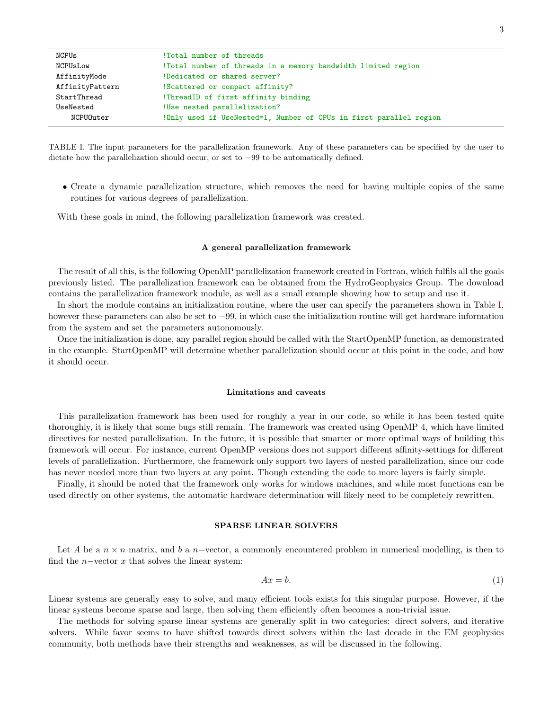| NCPUs           | !Total number of threads                                           |
|-----------------|--------------------------------------------------------------------|
| NCPUsLow        | !Total number of threads in a memory bandwidth limited region      |
| AffinityMode    | !Dedicated or shared server?                                       |
| AffinityPattern | !Scattered or compact affinity?                                    |
| StartThread     | !ThreadID of first affinity binding                                |
| UseNested       | !Use nested parallelization?                                       |
| NCPUOuter       | !Only used if UseNested=1, Number of CPUs in first parallel region |

<span id="page-4-3"></span>TABLE I. The input parameters for the parallelization framework. Any of these parameters can be specified by the user to dictate how the parallelization should occur, or set to −99 to be automatically defined.

• Create a dynamic parallelization structure, which removes the need for having multiple copies of the same routines for various degrees of parallelization.

With these goals in mind, the following parallelization framework was created.

## <span id="page-4-0"></span>A general parallelization framework

The result of all this, is the following OpenMP parallelization framework created in Fortran, which fulfils all the goals previously listed. The parallelization framework can be obtained from the HydroGeophysics Group. The download contains the parallelization framework module, as well as a small example showing how to setup and use it.

In short the module contains an initialization routine, where the user can specify the parameters shown in Table [I,](#page-4-3) however these parameters can also be set to −99, in which case the initialization routine will get hardware information from the system and set the parameters autonomously.

Once the initialization is done, any parallel region should be called with the StartOpenMP function, as demonstrated in the example. StartOpenMP will determine whether parallelization should occur at this point in the code, and how it should occur.

## <span id="page-4-1"></span>Limitations and caveats

This parallelization framework has been used for roughly a year in our code, so while it has been tested quite thoroughly, it is likely that some bugs still remain. The framework was created using OpenMP 4, which have limited directives for nested parallelization. In the future, it is possible that smarter or more optimal ways of building this framework will occur. For instance, current OpenMP versions does not support different affinity-settings for different levels of parallelization. Furthermore, the framework only support two layers of nested parallelization, since our code has never needed more than two layers at any point. Though extending the code to more layers is fairly simple.

Finally, it should be noted that the framework only works for windows machines, and while most functions can be used directly on other systems, the automatic hardware determination will likely need to be completely rewritten.

## <span id="page-4-2"></span>SPARSE LINEAR SOLVERS

Let A be a  $n \times n$  matrix, and b a n-vector, a commonly encountered problem in numerical modelling, is then to find the  $n$ -vector x that solves the linear system:

<span id="page-4-4"></span>
$$
Ax = b.\tag{1}
$$

Linear systems are generally easy to solve, and many efficient tools exists for this singular purpose. However, if the linear systems become sparse and large, then solving them efficiently often becomes a non-trivial issue.

The methods for solving sparse linear systems are generally split in two categories: direct solvers, and iterative solvers. While favor seems to have shifted towards direct solvers within the last decade in the EM geophysics community, both methods have their strengths and weaknesses, as will be discussed in the following.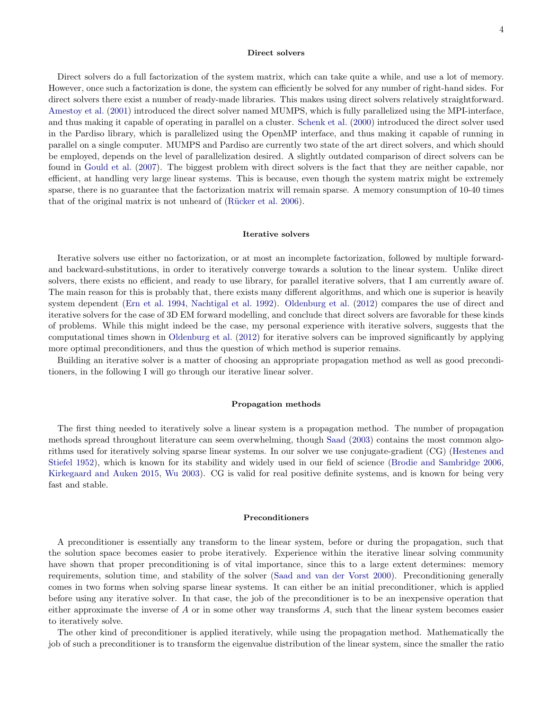## <span id="page-5-0"></span>Direct solvers

Direct solvers do a full factorization of the system matrix, which can take quite a while, and use a lot of memory. However, once such a factorization is done, the system can efficiently be solved for any number of right-hand sides. For direct solvers there exist a number of ready-made libraries. This makes using direct solvers relatively straightforward. [Amestoy et al.](#page-11-8) [\(2001\)](#page-11-8) introduced the direct solver named MUMPS, which is fully parallelized using the MPI-interface, and thus making it capable of operating in parallel on a cluster. [Schenk et al.](#page-11-9) [\(2000\)](#page-11-9) introduced the direct solver used in the Pardiso library, which is parallelized using the OpenMP interface, and thus making it capable of running in parallel on a single computer. MUMPS and Pardiso are currently two state of the art direct solvers, and which should be employed, depends on the level of parallelization desired. A slightly outdated comparison of direct solvers can be found in [Gould et al.](#page-11-10) [\(2007\)](#page-11-10). The biggest problem with direct solvers is the fact that they are neither capable, nor efficient, at handling very large linear systems. This is because, even though the system matrix might be extremely sparse, there is no guarantee that the factorization matrix will remain sparse. A memory consumption of 10-40 times that of the original matrix is not unheard of (Rücker et al. [2006\)](#page-11-11).

#### <span id="page-5-1"></span>Iterative solvers

Iterative solvers use either no factorization, or at most an incomplete factorization, followed by multiple forwardand backward-substitutions, in order to iteratively converge towards a solution to the linear system. Unlike direct solvers, there exists no efficient, and ready to use library, for parallel iterative solvers, that I am currently aware of. The main reason for this is probably that, there exists many different algorithms, and which one is superior is heavily system dependent [\(Ern et al.](#page-11-12) [1994,](#page-11-12) [Nachtigal et al.](#page-11-13) [1992\)](#page-11-13). [Oldenburg et al.](#page-11-14) [\(2012\)](#page-11-14) compares the use of direct and iterative solvers for the case of 3D EM forward modelling, and conclude that direct solvers are favorable for these kinds of problems. While this might indeed be the case, my personal experience with iterative solvers, suggests that the computational times shown in [Oldenburg et al.](#page-11-14) [\(2012\)](#page-11-14) for iterative solvers can be improved significantly by applying more optimal preconditioners, and thus the question of which method is superior remains.

Building an iterative solver is a matter of choosing an appropriate propagation method as well as good preconditioners, in the following I will go through our iterative linear solver.

## <span id="page-5-2"></span>Propagation methods

The first thing needed to iteratively solve a linear system is a propagation method. The number of propagation methods spread throughout literature can seem overwhelming, though [Saad](#page-11-15) [\(2003\)](#page-11-15) contains the most common algorithms used for iteratively solving sparse linear systems. In our solver we use conjugate-gradient (CG) [\(Hestenes and](#page-11-16) [Stiefel](#page-11-16) [1952\)](#page-11-16), which is known for its stability and widely used in our field of science [\(Brodie and Sambridge](#page-11-17) [2006,](#page-11-17) [Kirkegaard and Auken](#page-11-18) [2015,](#page-11-18) [Wu](#page-11-19) [2003\)](#page-11-19). CG is valid for real positive definite systems, and is known for being very fast and stable.

#### <span id="page-5-3"></span>Preconditioners

A preconditioner is essentially any transform to the linear system, before or during the propagation, such that the solution space becomes easier to probe iteratively. Experience within the iterative linear solving community have shown that proper preconditioning is of vital importance, since this to a large extent determines: memory requirements, solution time, and stability of the solver [\(Saad and van der Vorst](#page-11-20) [2000\)](#page-11-20). Preconditioning generally comes in two forms when solving sparse linear systems. It can either be an initial preconditioner, which is applied before using any iterative solver. In that case, the job of the preconditioner is to be an inexpensive operation that either approximate the inverse of A or in some other way transforms A, such that the linear system becomes easier to iteratively solve.

The other kind of preconditioner is applied iteratively, while using the propagation method. Mathematically the job of such a preconditioner is to transform the eigenvalue distribution of the linear system, since the smaller the ratio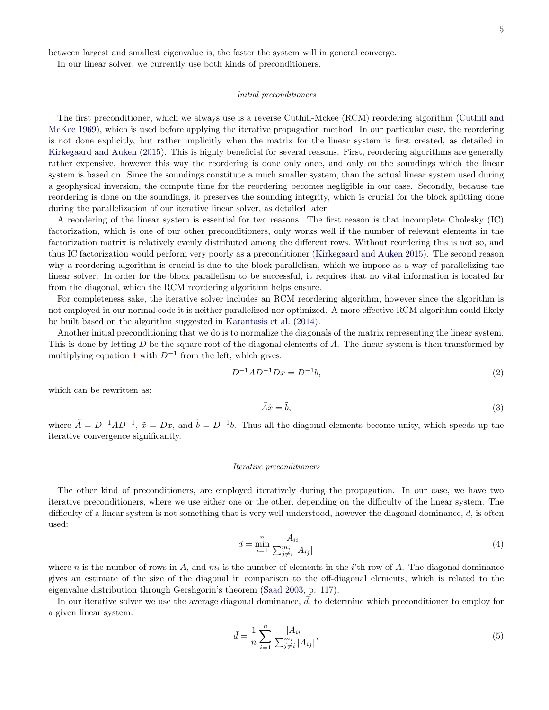between largest and smallest eigenvalue is, the faster the system will in general converge.

In our linear solver, we currently use both kinds of preconditioners.

## Initial preconditioners

The first preconditioner, which we always use is a reverse Cuthill-Mckee (RCM) reordering algorithm [\(Cuthill and](#page-11-21) [McKee](#page-11-21) [1969\)](#page-11-21), which is used before applying the iterative propagation method. In our particular case, the reordering is not done explicitly, but rather implicitly when the matrix for the linear system is first created, as detailed in [Kirkegaard and Auken](#page-11-18) [\(2015\)](#page-11-18). This is highly beneficial for several reasons. First, reordering algorithms are generally rather expensive, however this way the reordering is done only once, and only on the soundings which the linear system is based on. Since the soundings constitute a much smaller system, than the actual linear system used during a geophysical inversion, the compute time for the reordering becomes negligible in our case. Secondly, because the reordering is done on the soundings, it preserves the sounding integrity, which is crucial for the block splitting done during the parallelization of our iterative linear solver, as detailed later.

A reordering of the linear system is essential for two reasons. The first reason is that incomplete Cholesky (IC) factorization, which is one of our other preconditioners, only works well if the number of relevant elements in the factorization matrix is relatively evenly distributed among the different rows. Without reordering this is not so, and thus IC factorization would perform very poorly as a preconditioner [\(Kirkegaard and Auken](#page-11-18) [2015\)](#page-11-18). The second reason why a reordering algorithm is crucial is due to the block parallelism, which we impose as a way of parallelizing the linear solver. In order for the block parallelism to be successful, it requires that no vital information is located far from the diagonal, which the RCM reordering algorithm helps ensure.

For completeness sake, the iterative solver includes an RCM reordering algorithm, however since the algorithm is not employed in our normal code it is neither parallelized nor optimized. A more effective RCM algorithm could likely be built based on the algorithm suggested in [Karantasis et al.](#page-11-22) [\(2014\)](#page-11-22).

Another initial preconditioning that we do is to normalize the diagonals of the matrix representing the linear system. This is done by letting  $D$  be the square root of the diagonal elements of  $A$ . The linear system is then transformed by multiplying equation [1](#page-4-4) with  $D^{-1}$  from the left, which gives:

$$
D^{-1}AD^{-1}Dx = D^{-1}b,\t\t(2)
$$

which can be rewritten as:

$$
\tilde{A}\tilde{x} = \tilde{b},\tag{3}
$$

where  $\tilde{A} = D^{-1}AD^{-1}$ ,  $\tilde{x} = Dx$ , and  $\tilde{b} = D^{-1}b$ . Thus all the diagonal elements become unity, which speeds up the iterative convergence significantly.

#### Iterative preconditioners

The other kind of preconditioners, are employed iteratively during the propagation. In our case, we have two iterative preconditioners, where we use either one or the other, depending on the difficulty of the linear system. The difficulty of a linear system is not something that is very well understood, however the diagonal dominance,  $d$ , is often used:

$$
d = \min_{i=1}^{n} \frac{|A_{ii}|}{\sum_{j \neq i}^{m_i} |A_{ij}|}
$$
(4)

where *n* is the number of rows in A, and  $m_i$  is the number of elements in the *i*'th row of A. The diagonal dominance gives an estimate of the size of the diagonal in comparison to the off-diagonal elements, which is related to the eigenvalue distribution through Gershgorin's theorem [\(Saad](#page-11-15) [2003,](#page-11-15) p. 117).

In our iterative solver we use the average diagonal dominance,  $d$ , to determine which preconditioner to employ for a given linear system.

$$
\bar{d} = \frac{1}{n} \sum_{i=1}^{n} \frac{|A_{ii}|}{\sum_{j \neq i}^{m_i} |A_{ij}|},\tag{5}
$$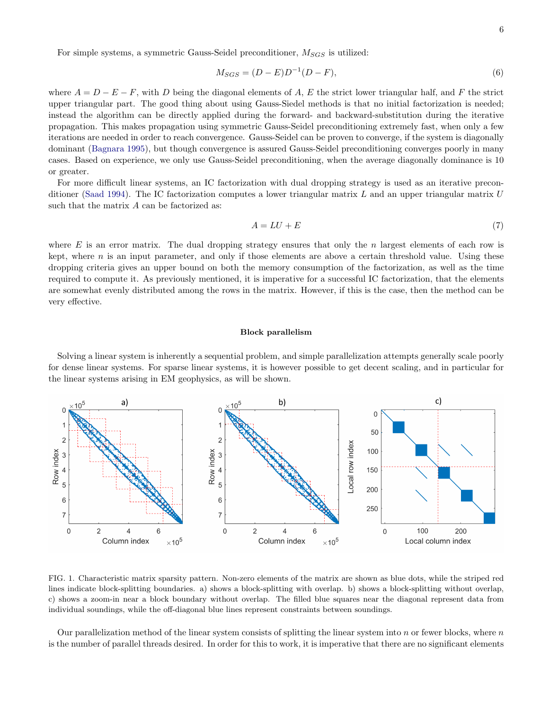For simple systems, a symmetric Gauss-Seidel preconditioner,  $M_{SGS}$  is utilized:

$$
M_{SGS} = (D - E)D^{-1}(D - F),
$$
\n(6)

where  $A = D - E - F$ , with D being the diagonal elements of A, E the strict lower triangular half, and F the strict upper triangular part. The good thing about using Gauss-Siedel methods is that no initial factorization is needed; instead the algorithm can be directly applied during the forward- and backward-substitution during the iterative propagation. This makes propagation using symmetric Gauss-Seidel preconditioning extremely fast, when only a few iterations are needed in order to reach convergence. Gauss-Seidel can be proven to converge, if the system is diagonally dominant [\(Bagnara](#page-11-23) [1995\)](#page-11-23), but though convergence is assured Gauss-Seidel preconditioning converges poorly in many cases. Based on experience, we only use Gauss-Seidel preconditioning, when the average diagonally dominance is 10 or greater.

For more difficult linear systems, an IC factorization with dual dropping strategy is used as an iterative preconditioner [\(Saad](#page-11-24) [1994\)](#page-11-24). The IC factorization computes a lower triangular matrix L and an upper triangular matrix U such that the matrix A can be factorized as:

$$
A = LU + E \tag{7}
$$

where  $E$  is an error matrix. The dual dropping strategy ensures that only the  $n$  largest elements of each row is kept, where  $n$  is an input parameter, and only if those elements are above a certain threshold value. Using these dropping criteria gives an upper bound on both the memory consumption of the factorization, as well as the time required to compute it. As previously mentioned, it is imperative for a successful IC factorization, that the elements are somewhat evenly distributed among the rows in the matrix. However, if this is the case, then the method can be very effective.

## <span id="page-7-0"></span>Block parallelism

Solving a linear system is inherently a sequential problem, and simple parallelization attempts generally scale poorly for dense linear systems. For sparse linear systems, it is however possible to get decent scaling, and in particular for the linear systems arising in EM geophysics, as will be shown.



<span id="page-7-1"></span>FIG. 1. Characteristic matrix sparsity pattern. Non-zero elements of the matrix are shown as blue dots, while the striped red lines indicate block-splitting boundaries. a) shows a block-splitting with overlap. b) shows a block-splitting without overlap, c) shows a zoom-in near a block boundary without overlap. The filled blue squares near the diagonal represent data from individual soundings, while the off-diagonal blue lines represent constraints between soundings.

Our parallelization method of the linear system consists of splitting the linear system into  $n$  or fewer blocks, where  $n$ is the number of parallel threads desired. In order for this to work, it is imperative that there are no significant elements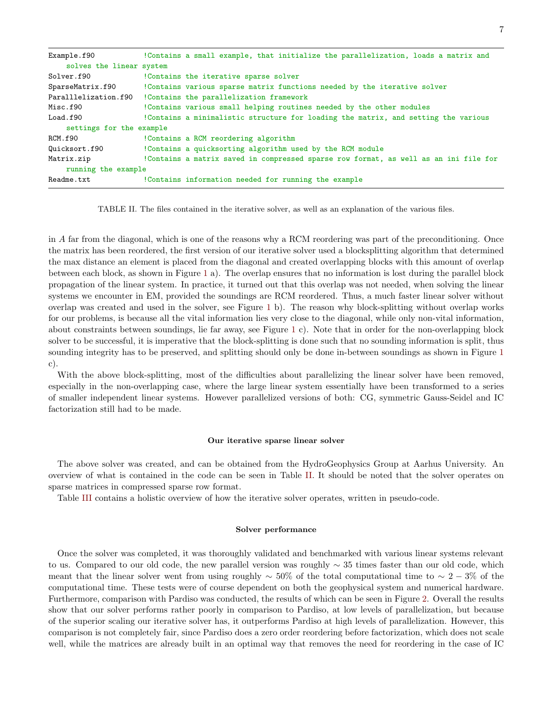| Example.f90              | !Contains a small example, that initialize the parallelization, loads a matrix and   |
|--------------------------|--------------------------------------------------------------------------------------|
| solves the linear system |                                                                                      |
| Solver.f90               | !Contains the iterative sparse solver                                                |
| SparseMatrix.f90         | ! Contains various sparse matrix functions needed by the iterative solver            |
| Paralllelization.f90     | !Contains the parallelization framework                                              |
| Misc.f90                 | !Contains various small helping routines needed by the other modules                 |
| Load.f90                 | ! Contains a minimalistic structure for loading the matrix, and setting the various  |
| settings for the example |                                                                                      |
| RCM.f90                  | !Contains a RCM reordering algorithm                                                 |
| Quicksort.f90            | ! Contains a quicksorting algorithm used by the RCM module                           |
| Matrix.zip               | !Contains a matrix saved in compressed sparse row format, as well as an ini file for |
| running the example      |                                                                                      |
| Readme.txt               | ! Contains information needed for running the example                                |

<span id="page-8-2"></span>TABLE II. The files contained in the iterative solver, as well as an explanation of the various files.

in A far from the diagonal, which is one of the reasons why a RCM reordering was part of the preconditioning. Once the matrix has been reordered, the first version of our iterative solver used a blocksplitting algorithm that determined the max distance an element is placed from the diagonal and created overlapping blocks with this amount of overlap between each block, as shown in Figure [1](#page-7-1) a). The overlap ensures that no information is lost during the parallel block propagation of the linear system. In practice, it turned out that this overlap was not needed, when solving the linear systems we encounter in EM, provided the soundings are RCM reordered. Thus, a much faster linear solver without overlap was created and used in the solver, see Figure [1](#page-7-1) b). The reason why block-splitting without overlap works for our problems, is because all the vital information lies very close to the diagonal, while only non-vital information, about constraints between soundings, lie far away, see Figure [1](#page-7-1) c). Note that in order for the non-overlapping block solver to be successful, it is imperative that the block-splitting is done such that no sounding information is split, thus sounding integrity has to be preserved, and splitting should only be done in-between soundings as shown in Figure [1](#page-7-1) c).

With the above block-splitting, most of the difficulties about parallelizing the linear solver have been removed, especially in the non-overlapping case, where the large linear system essentially have been transformed to a series of smaller independent linear systems. However parallelized versions of both: CG, symmetric Gauss-Seidel and IC factorization still had to be made.

#### <span id="page-8-0"></span>Our iterative sparse linear solver

The above solver was created, and can be obtained from the HydroGeophysics Group at Aarhus University. An overview of what is contained in the code can be seen in Table [II.](#page-8-2) It should be noted that the solver operates on sparse matrices in compressed sparse row format.

Table [III](#page-9-1) contains a holistic overview of how the iterative solver operates, written in pseudo-code.

## <span id="page-8-1"></span>Solver performance

Once the solver was completed, it was thoroughly validated and benchmarked with various linear systems relevant to us. Compared to our old code, the new parallel version was roughly  $\sim$  35 times faster than our old code, which meant that the linear solver went from using roughly  $\sim 50\%$  of the total computational time to  $\sim 2-3\%$  of the computational time. These tests were of course dependent on both the geophysical system and numerical hardware. Furthermore, comparison with Pardiso was conducted, the results of which can be seen in Figure [2.](#page-10-2) Overall the results show that our solver performs rather poorly in comparison to Pardiso, at low levels of parallelization, but because of the superior scaling our iterative solver has, it outperforms Pardiso at high levels of parallelization. However, this comparison is not completely fair, since Pardiso does a zero order reordering before factorization, which does not scale well, while the matrices are already built in an optimal way that removes the need for reordering in the case of IC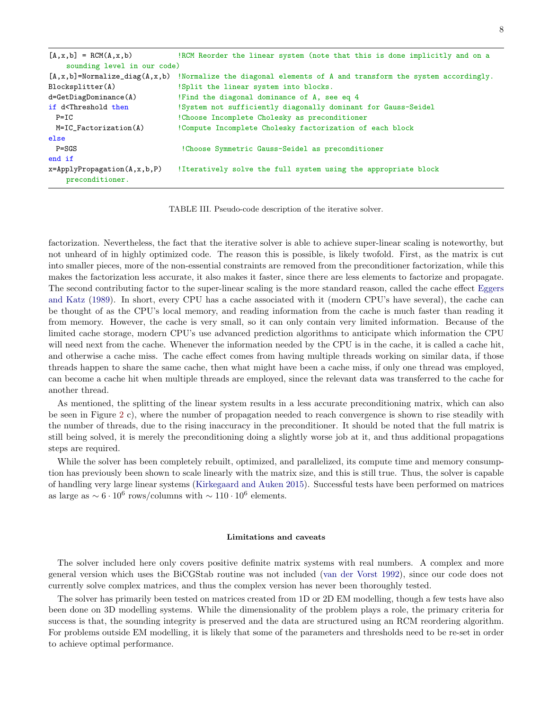| !RCM Reorder the linear system (note that this is done implicitly and on a  |
|-----------------------------------------------------------------------------|
| sounding level in our code)                                                 |
| !Normalize the diagonal elements of A and transform the system accordingly. |
| !Split the linear system into blocks.                                       |
| !Find the diagonal dominance of A, see eq 4                                 |
| !System not sufficiently diagonally dominant for Gauss-Seidel               |
| ! Choose Incomplete Cholesky as preconditioner                              |
| !Compute Incomplete Cholesky factorization of each block                    |
|                                                                             |
| ! Choose Symmetric Gauss-Seidel as preconditioner                           |
|                                                                             |
| !Iteratively solve the full system using the appropriate block              |
|                                                                             |

<span id="page-9-1"></span>TABLE III. Pseudo-code description of the iterative solver.

factorization. Nevertheless, the fact that the iterative solver is able to achieve super-linear scaling is noteworthy, but not unheard of in highly optimized code. The reason this is possible, is likely twofold. First, as the matrix is cut into smaller pieces, more of the non-essential constraints are removed from the preconditioner factorization, while this makes the factorization less accurate, it also makes it faster, since there are less elements to factorize and propagate. The second contributing factor to the super-linear scaling is the more standard reason, called the cache effect [Eggers](#page-11-25) [and Katz](#page-11-25) [\(1989\)](#page-11-25). In short, every CPU has a cache associated with it (modern CPU's have several), the cache can be thought of as the CPU's local memory, and reading information from the cache is much faster than reading it from memory. However, the cache is very small, so it can only contain very limited information. Because of the limited cache storage, modern CPU's use advanced prediction algorithms to anticipate which information the CPU will need next from the cache. Whenever the information needed by the CPU is in the cache, it is called a cache hit, and otherwise a cache miss. The cache effect comes from having multiple threads working on similar data, if those threads happen to share the same cache, then what might have been a cache miss, if only one thread was employed, can become a cache hit when multiple threads are employed, since the relevant data was transferred to the cache for another thread.

As mentioned, the splitting of the linear system results in a less accurate preconditioning matrix, which can also be seen in Figure [2](#page-10-2) c), where the number of propagation needed to reach convergence is shown to rise steadily with the number of threads, due to the rising inaccuracy in the preconditioner. It should be noted that the full matrix is still being solved, it is merely the preconditioning doing a slightly worse job at it, and thus additional propagations steps are required.

While the solver has been completely rebuilt, optimized, and parallelized, its compute time and memory consumption has previously been shown to scale linearly with the matrix size, and this is still true. Thus, the solver is capable of handling very large linear systems [\(Kirkegaard and Auken](#page-11-18) [2015\)](#page-11-18). Successful tests have been performed on matrices as large as  $\sim 6 \cdot 10^6$  rows/columns with  $\sim 110 \cdot 10^6$  elements.

#### <span id="page-9-0"></span>Limitations and caveats

The solver included here only covers positive definite matrix systems with real numbers. A complex and more general version which uses the BiCGStab routine was not included [\(van der Vorst](#page-11-26) [1992\)](#page-11-26), since our code does not currently solve complex matrices, and thus the complex version has never been thoroughly tested.

The solver has primarily been tested on matrices created from 1D or 2D EM modelling, though a few tests have also been done on 3D modelling systems. While the dimensionality of the problem plays a role, the primary criteria for success is that, the sounding integrity is preserved and the data are structured using an RCM reordering algorithm. For problems outside EM modelling, it is likely that some of the parameters and thresholds need to be re-set in order to achieve optimal performance.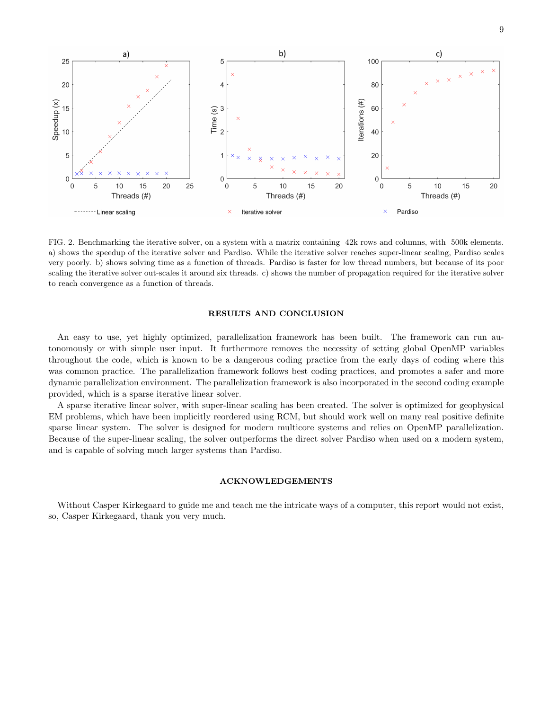

<span id="page-10-2"></span>FIG. 2. Benchmarking the iterative solver, on a system with a matrix containing 42k rows and columns, with 500k elements. a) shows the speedup of the iterative solver and Pardiso. While the iterative solver reaches super-linear scaling, Pardiso scales very poorly. b) shows solving time as a function of threads. Pardiso is faster for low thread numbers, but because of its poor scaling the iterative solver out-scales it around six threads. c) shows the number of propagation required for the iterative solver to reach convergence as a function of threads.

## <span id="page-10-0"></span>RESULTS AND CONCLUSION

An easy to use, yet highly optimized, parallelization framework has been built. The framework can run autonomously or with simple user input. It furthermore removes the necessity of setting global OpenMP variables throughout the code, which is known to be a dangerous coding practice from the early days of coding where this was common practice. The parallelization framework follows best coding practices, and promotes a safer and more dynamic parallelization environment. The parallelization framework is also incorporated in the second coding example provided, which is a sparse iterative linear solver.

A sparse iterative linear solver, with super-linear scaling has been created. The solver is optimized for geophysical EM problems, which have been implicitly reordered using RCM, but should work well on many real positive definite sparse linear system. The solver is designed for modern multicore systems and relies on OpenMP parallelization. Because of the super-linear scaling, the solver outperforms the direct solver Pardiso when used on a modern system, and is capable of solving much larger systems than Pardiso.

## <span id="page-10-1"></span>ACKNOWLEDGEMENTS

Without Casper Kirkegaard to guide me and teach me the intricate ways of a computer, this report would not exist, so, Casper Kirkegaard, thank you very much.